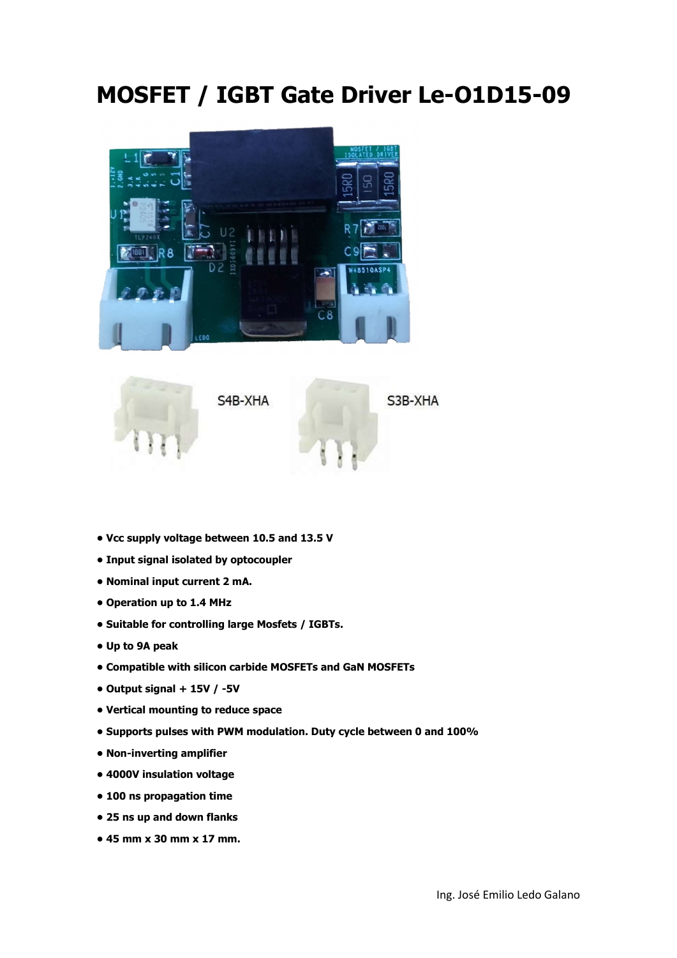## MOSFET / IGBT Gate Driver Le-O1D15-09





- Vcc supply voltage between 10.5 and 13.5 V
- Input signal isolated by optocoupler
- Nominal input current 2 mA.
- Operation up to 1.4 MHz
- Suitable for controlling large Mosfets / IGBTs.
- Up to 9A peak
- Compatible with silicon carbide MOSFETs and GaN MOSFETs
- Output signal + 15V / -5V
- Vertical mounting to reduce space
- Supports pulses with PWM modulation. Duty cycle between 0 and 100%
- Non-inverting amplifier
- 4000V insulation voltage
- 100 ns propagation time
- 25 ns up and down flanks
- 45 mm x 30 mm x 17 mm.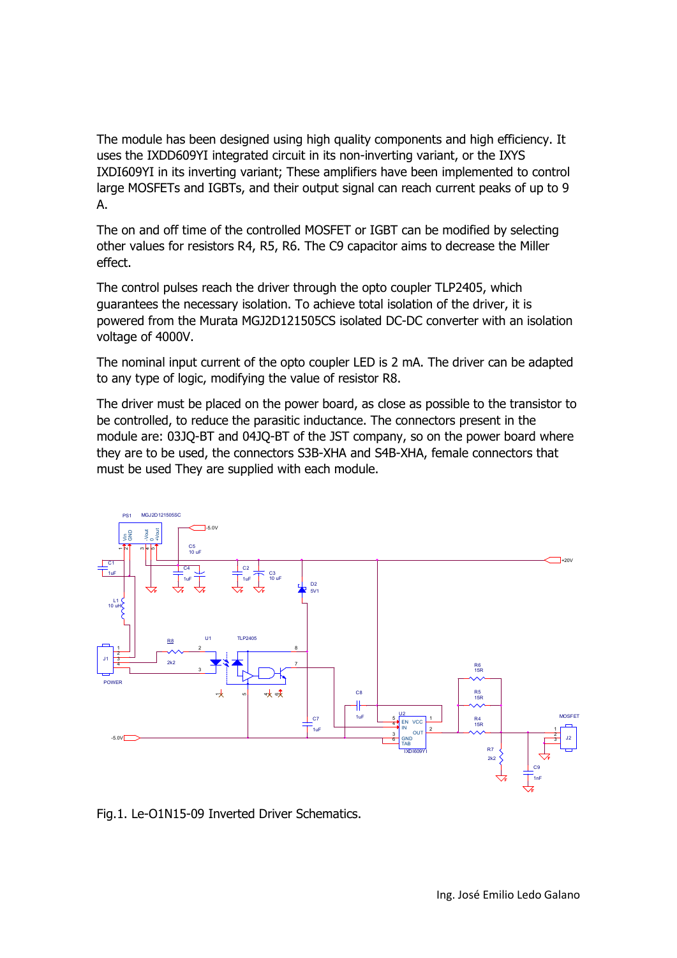The module has been designed using high quality components and high efficiency. It uses the IXDD609YI integrated circuit in its non-inverting variant, or the IXYS IXDI609YI in its inverting variant; These amplifiers have been implemented to control large MOSFETs and IGBTs, and their output signal can reach current peaks of up to 9 A.

The on and off time of the controlled MOSFET or IGBT can be modified by selecting other values for resistors R4, R5, R6. The C9 capacitor aims to decrease the Miller effect.

The control pulses reach the driver through the opto coupler TLP2405, which guarantees the necessary isolation. To achieve total isolation of the driver, it is powered from the Murata MGJ2D121505CS isolated DC-DC converter with an isolation voltage of 4000V.

The nominal input current of the opto coupler LED is 2 mA. The driver can be adapted to any type of logic, modifying the value of resistor R8.

The driver must be placed on the power board, as close as possible to the transistor to be controlled, to reduce the parasitic inductance. The connectors present in the module are: 03JQ-BT and 04JQ-BT of the JST company, so on the power board where they are to be used, the connectors S3B-XHA and S4B-XHA, female connectors that must be used They are supplied with each module.

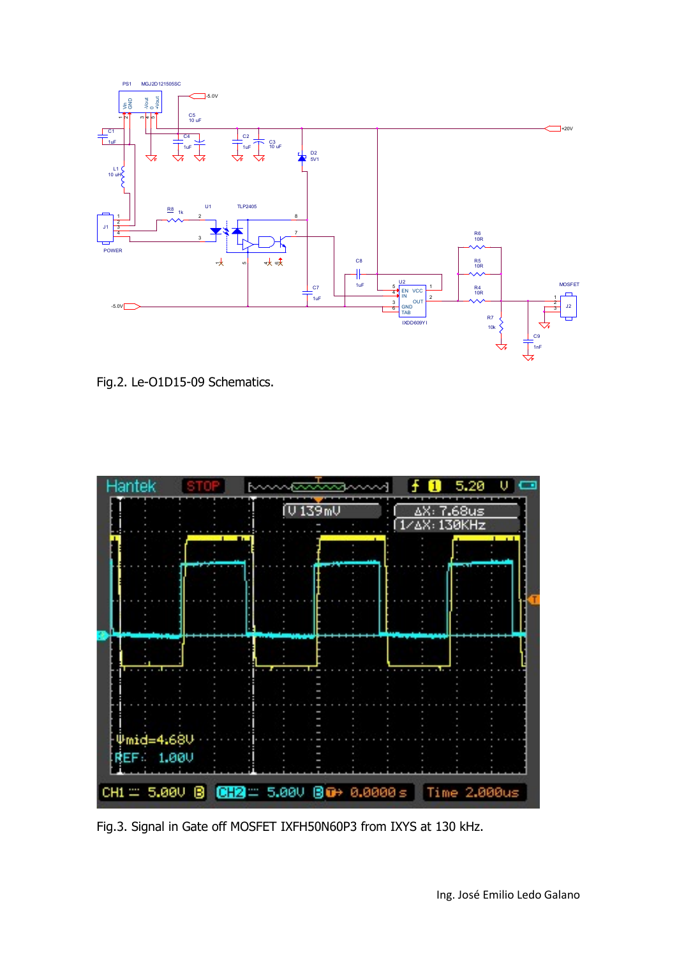

Fig.2. Le-O1D15-09 Schematics.



Fig.3. Signal in Gate off MOSFET IXFH50N60P3 from IXYS at 130 kHz.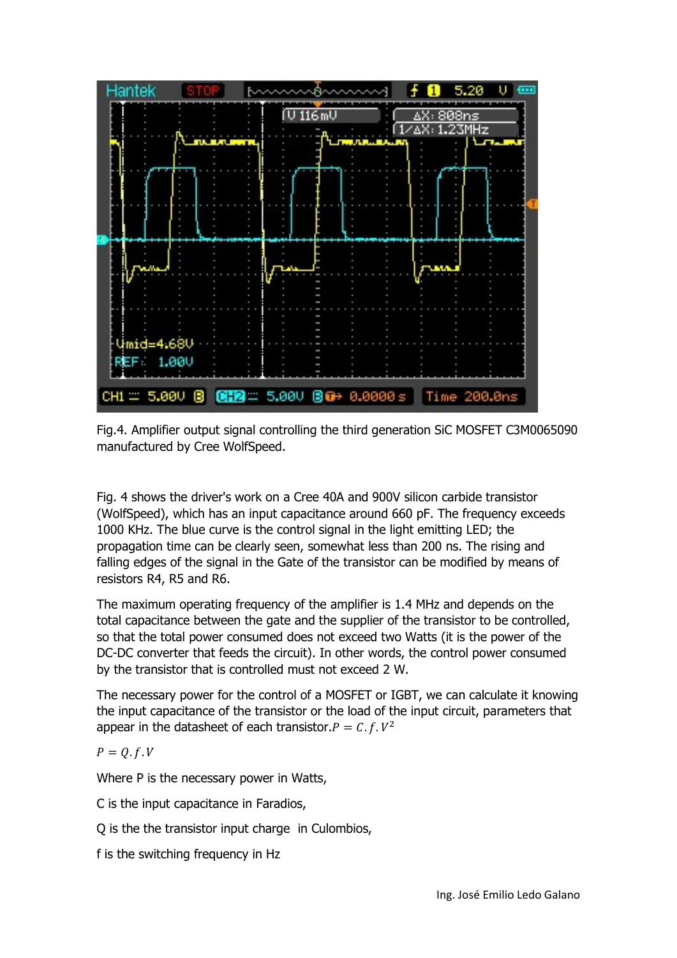

Fig.4. Amplifier output signal controlling the third generation SiC MOSFET C3M0065090 manufactured by Cree WolfSpeed.

Fig. 4 shows the driver's work on a Cree 40A and 900V silicon carbide transistor (WolfSpeed), which has an input capacitance around 660 pF. The frequency exceeds 1000 KHz. The blue curve is the control signal in the light emitting LED; the propagation time can be clearly seen, somewhat less than 200 ns. The rising and falling edges of the signal in the Gate of the transistor can be modified by means of resistors R4, R5 and R6.

The maximum operating frequency of the amplifier is 1.4 MHz and depends on the total capacitance between the gate and the supplier of the transistor to be controlled, so that the total power consumed does not exceed two Watts (it is the power of the DC-DC converter that feeds the circuit). In other words, the control power consumed by the transistor that is controlled must not exceed 2 W.

The necessary power for the control of a MOSFET or IGBT, we can calculate it knowing the input capacitance of the transistor or the load of the input circuit, parameters that appear in the datasheet of each transistor.  $P = C.f.V^2$ 

$$
P=Q.f.V
$$

Where P is the necessary power in Watts,

- C is the input capacitance in Faradios,
- Q is the the transistor input charge in Culombios,

f is the switching frequency in Hz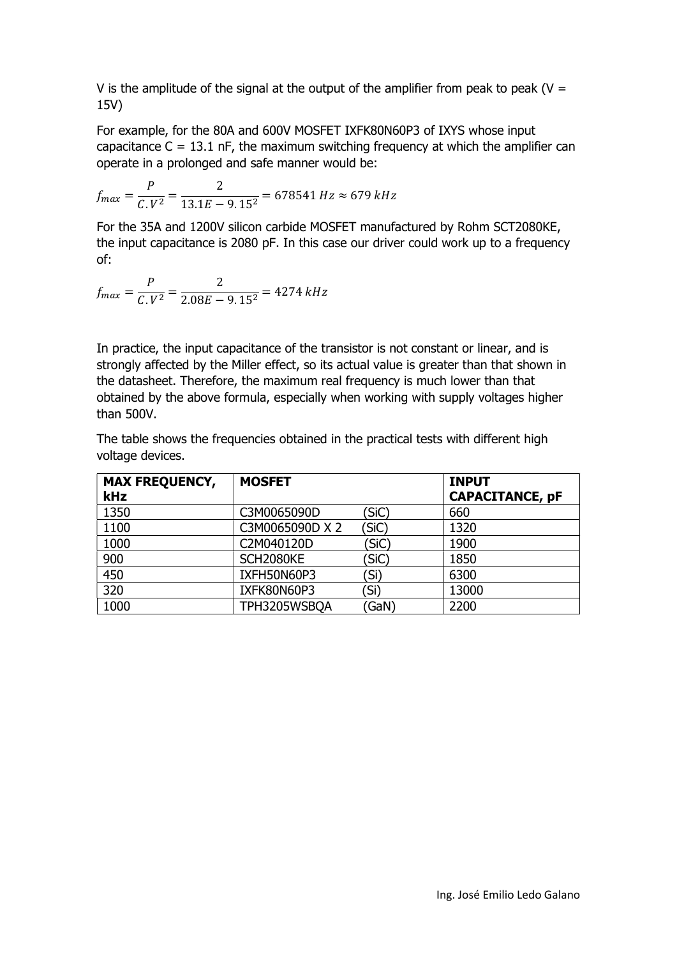V is the amplitude of the signal at the output of the amplifier from peak to peak ( $V =$ 15V)

For example, for the 80A and 600V MOSFET IXFK80N60P3 of IXYS whose input capacitance  $C = 13.1$  nF, the maximum switching frequency at which the amplifier can operate in a prolonged and safe manner would be:

$$
f_{max} = \frac{P}{C.V^2} = \frac{2}{13.1E - 9.15^2} = 678541 Hz \approx 679 kHz
$$

For the 35A and 1200V silicon carbide MOSFET manufactured by Rohm SCT2080KE, the input capacitance is 2080 pF. In this case our driver could work up to a frequency of:

$$
f_{max} = \frac{P}{C.V^2} = \frac{2}{2.08E - 9.15^2} = 4274 \text{ kHz}
$$

In practice, the input capacitance of the transistor is not constant or linear, and is strongly affected by the Miller effect, so its actual value is greater than that shown in the datasheet. Therefore, the maximum real frequency is much lower than that obtained by the above formula, especially when working with supply voltages higher than 500V.

The table shows the frequencies obtained in the practical tests with different high voltage devices.

| <b>MAX FREQUENCY,</b><br><b>kHz</b> | <b>MOSFET</b>   |       | <b>INPUT</b><br><b>CAPACITANCE, pF</b> |
|-------------------------------------|-----------------|-------|----------------------------------------|
| 1350                                | C3M0065090D     | (SiC) | 660                                    |
| 1100                                | C3M0065090D X 2 | (SiC) | 1320                                   |
| 1000                                | C2M040120D      | (SiC) | 1900                                   |
| 900                                 | SCH2080KE       | 'SiC) | 1850                                   |
| 450                                 | IXFH50N60P3     | 〔Si)  | 6300                                   |
| 320                                 | IXFK80N60P3     | (Si   | 13000                                  |
| 1000                                | TPH3205WSBQA    | GaN)  | 2200                                   |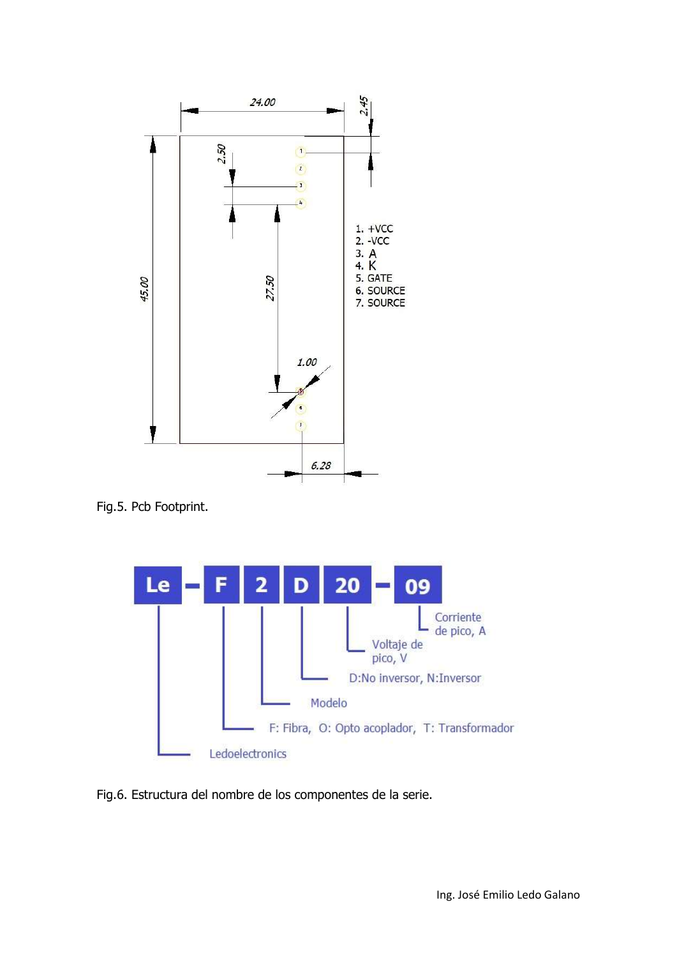

Fig.5. Pcb Footprint.



Fig.6. Estructura del nombre de los componentes de la serie.